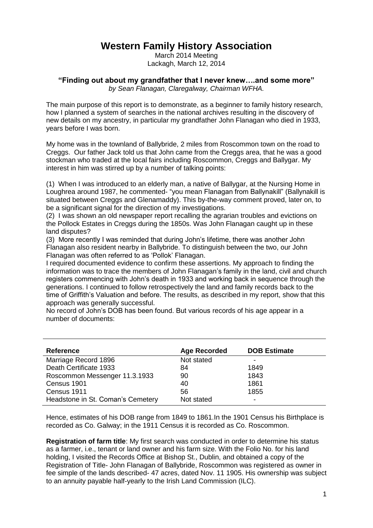## **Western Family History Association**

March 2014 Meeting Lackagh, March 12, 2014

**"Finding out about my grandfather that I never knew….and some more"**

*by Sean Flanagan, Claregalway, Chairman WFHA.*

The main purpose of this report is to demonstrate, as a beginner to family history research, how I planned a system of searches in the national archives resulting in the discovery of new details on my ancestry, in particular my grandfather John Flanagan who died in 1933, years before I was born.

My home was in the townland of Ballybride, 2 miles from Roscommon town on the road to Creggs. Our father Jack told us that John came from the Creggs area, that he was a good stockman who traded at the local fairs including Roscommon, Creggs and Ballygar. My interest in him was stirred up by a number of talking points:

(1) When I was introduced to an elderly man, a native of Ballygar, at the Nursing Home in Loughrea around 1987, he commented- "you mean Flanagan from Ballynakill" (Ballynakill is situated between Creggs and Glenamaddy). This by-the-way comment proved, later on, to be a significant signal for the direction of my investigations.

(2) I was shown an old newspaper report recalling the agrarian troubles and evictions on the Pollock Estates in Creggs during the 1850s. Was John Flanagan caught up in these land disputes?

(3) More recently I was reminded that during John's lifetime, there was another John Flanagan also resident nearby in Ballybride. To distinguish between the two, our John Flanagan was often referred to as 'Pollok' Flanagan.

I required documented evidence to confirm these assertions. My approach to finding the information was to trace the members of John Flanagan's family in the land, civil and church registers commencing with John's death in 1933 and working back in sequence through the generations. I continued to follow retrospectively the land and family records back to the time of Griffith's Valuation and before. The results, as described in my report, show that this approach was generally successful.

No record of John's DOB has been found. But various records of his age appear in a number of documents:

| <b>Reference</b>                  | <b>Age Recorded</b> | <b>DOB Estimate</b> |
|-----------------------------------|---------------------|---------------------|
| Marriage Record 1896              | Not stated          |                     |
| Death Certificate 1933            | 84                  | 1849                |
| Roscommon Messenger 11.3.1933     | 90                  | 1843                |
| Census 1901                       | 40                  | 1861                |
| Census 1911                       | 56                  | 1855                |
| Headstone in St. Coman's Cemetery | Not stated          |                     |

Hence, estimates of his DOB range from 1849 to 1861.In the 1901 Census his Birthplace is recorded as Co. Galway; in the 1911 Census it is recorded as Co. Roscommon.

**Registration of farm title**: My first search was conducted in order to determine his status as a farmer, i.e., tenant or land owner and his farm size. With the Folio No. for his land holding, I visited the Records Office at Bishop St., Dublin, and obtained a copy of the Registration of Title- John Flanagan of Ballybride, Roscommon was registered as owner in fee simple of the lands described- 47 acres, dated Nov. 11 1905. His ownership was subject to an annuity payable half-yearly to the Irish Land Commission (ILC).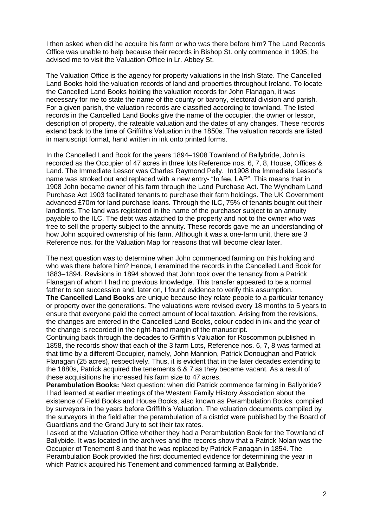I then asked when did he acquire his farm or who was there before him? The Land Records Office was unable to help because their records in Bishop St. only commence in 1905; he advised me to visit the Valuation Office in Lr. Abbey St.

The Valuation Office is the agency for property valuations in the Irish State. The Cancelled Land Books hold the valuation records of land and properties throughout Ireland. To locate the Cancelled Land Books holding the valuation records for John Flanagan, it was necessary for me to state the name of the county or barony, electoral division and parish. For a given parish, the valuation records are classified according to townland. The listed records in the Cancelled Land Books give the name of the occupier, the owner or lessor, description of property, the rateable valuation and the dates of any changes. These records extend back to the time of Griffith's Valuation in the 1850s. The valuation records are listed in manuscript format, hand written in ink onto printed forms.

In the Cancelled Land Book for the years 1894–1908 Townland of Ballybride, John is recorded as the Occupier of 47 acres in three lots Reference nos. 6, 7, 8, House, Offices & Land. The Immediate Lessor was Charles Raymond Pelly. In1908 the Immediate Lessor's name was stroked out and replaced with a new entry- "In fee, LAP". This means that in 1908 John became owner of his farm through the Land Purchase Act. The Wyndham Land Purchase Act 1903 facilitated tenants to purchase their farm holdings. The UK Government advanced £70m for land purchase loans. Through the ILC, 75% of tenants bought out their landlords. The land was registered in the name of the purchaser subject to an annuity payable to the ILC. The debt was attached to the property and not to the owner who was free to sell the property subject to the annuity. These records gave me an understanding of how John acquired ownership of his farm. Although it was a one-farm unit, there are 3 Reference nos. for the Valuation Map for reasons that will become clear later.

The next question was to determine when John commenced farming on this holding and who was there before him? Hence, I examined the records in the Cancelled Land Book for 1883–1894. Revisions in 1894 showed that John took over the tenancy from a Patrick Flanagan of whom I had no previous knowledge. This transfer appeared to be a normal father to son succession and, later on, I found evidence to verify this assumption. **The Cancelled Land Books** are unique because they relate people to a particular tenancy or property over the generations. The valuations were revised every 18 months to 5 years to ensure that everyone paid the correct amount of local taxation. Arising from the revisions, the changes are entered in the Cancelled Land Books, colour coded in ink and the year of the change is recorded in the right-hand margin of the manuscript.

Continuing back through the decades to Griffith's Valuation for Roscommon published in 1858, the records show that each of the 3 farm Lots, Reference nos. 6, 7, 8 was farmed at that time by a different Occupier, namely, John Mannion, Patrick Donoughan and Patrick Flanagan (25 acres), respectively. Thus, it is evident that in the later decades extending to the 1880s, Patrick acquired the tenements 6 & 7 as they became vacant. As a result of these acquisitions he increased his farm size to 47 acres.

**Perambulation Books:** Next question: when did Patrick commence farming in Ballybride? I had learned at earlier meetings of the Western Family History Association about the existence of Field Books and House Books, also known as Perambulation Books, compiled by surveyors in the years before Griffith's Valuation. The valuation documents compiled by the surveyors in the field after the perambulation of a district were published by the Board of Guardians and the Grand Jury to set their tax rates.

I asked at the Valuation Office whether they had a Perambulation Book for the Townland of Ballybide. It was located in the archives and the records show that a Patrick Nolan was the Occupier of Tenement 8 and that he was replaced by Patrick Flanagan in 1854. The Perambulation Book provided the first documented evidence for determining the year in which Patrick acquired his Tenement and commenced farming at Ballybride.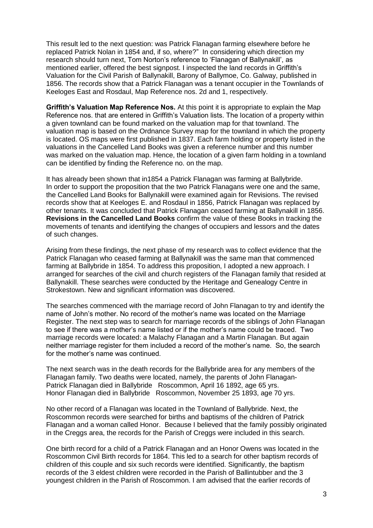This result led to the next question: was Patrick Flanagan farming elsewhere before he replaced Patrick Nolan in 1854 and, if so, where?" In considering which direction my research should turn next, Tom Norton's reference to 'Flanagan of Ballynakill', as mentioned earlier, offered the best signpost. I inspected the land records in Griffith's Valuation for the Civil Parish of Ballynakill, Barony of Ballymoe, Co. Galway, published in 1856. The records show that a Patrick Flanagan was a tenant occupier in the Townlands of Keeloges East and Rosdaul, Map Reference nos. 2d and 1, respectively.

**Griffith's Valuation Map Reference Nos.** At this point it is appropriate to explain the Map Reference nos. that are entered in Griffith's Valuation lists. The location of a property within a given townland can be found marked on the valuation map for that townland. The valuation map is based on the Ordnance Survey map for the townland in which the property is located. OS maps were first published in 1837. Each farm holding or property listed in the valuations in the Cancelled Land Books was given a reference number and this number was marked on the valuation map. Hence, the location of a given farm holding in a townland can be identified by finding the Reference no. on the map.

It has already been shown that in1854 a Patrick Flanagan was farming at Ballybride. In order to support the proposition that the two Patrick Flanagans were one and the same, the Cancelled Land Books for Ballynakill were examined again for Revisions. The revised records show that at Keeloges E. and Rosdaul in 1856, Patrick Flanagan was replaced by other tenants. It was concluded that Patrick Flanagan ceased farming at Ballynakill in 1856. **Revisions in the Cancelled Land Books** confirm the value of these Books in tracking the movements of tenants and identifying the changes of occupiers and lessors and the dates of such changes.

Arising from these findings, the next phase of my research was to collect evidence that the Patrick Flanagan who ceased farming at Ballynakill was the same man that commenced farming at Ballybride in 1854. To address this proposition, I adopted a new approach. I arranged for searches of the civil and church registers of the Flanagan family that resided at Ballynakill. These searches were conducted by the Heritage and Genealogy Centre in Strokestown. New and significant information was discovered.

The searches commenced with the marriage record of John Flanagan to try and identify the name of John's mother. No record of the mother's name was located on the Marriage Register. The next step was to search for marriage records of the siblings of John Flanagan to see if there was a mother's name listed or if the mother's name could be traced. Two marriage records were located: a Malachy Flanagan and a Martin Flanagan. But again neither marriage register for them included a record of the mother's name. So, the search for the mother's name was continued.

The next search was in the death records for the Ballybride area for any members of the Flanagan family. Two deaths were located, namely, the parents of John Flanagan-Patrick Flanagan died in Ballybride Roscommon, April 16 1892, age 65 yrs. Honor Flanagan died in Ballybride Roscommon, November 25 1893, age 70 yrs.

No other record of a Flanagan was located in the Townland of Ballybride. Next, the Roscommon records were searched for births and baptisms of the children of Patrick Flanagan and a woman called Honor. Because I believed that the family possibly originated in the Creggs area, the records for the Parish of Creggs were included in this search.

One birth record for a child of a Patrick Flanagan and an Honor Owens was located in the Roscommon Civil Birth records for 1864. This led to a search for other baptism records of children of this couple and six such records were identified. Significantly, the baptism records of the 3 eldest children were recorded in the Parish of Ballintubber and the 3 youngest children in the Parish of Roscommon. I am advised that the earlier records of